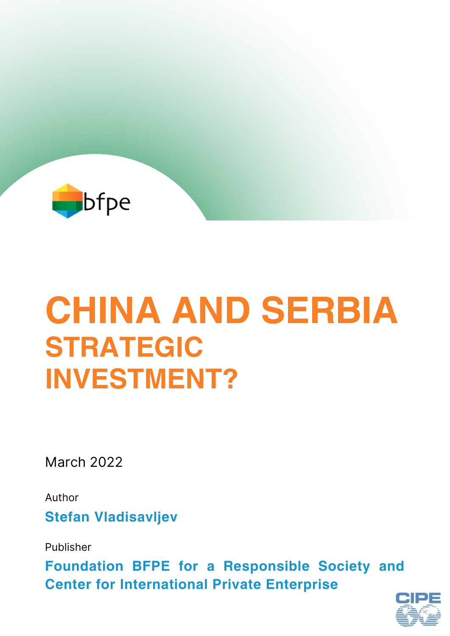

# **CHINA AND SERBIA STRATEGIC INVESTMENT?**

March 2022

**Stefan Vladisavljev** Author

Publisher

**Foundation BFPE for a Responsible Society and Center for International Private Enterprise**

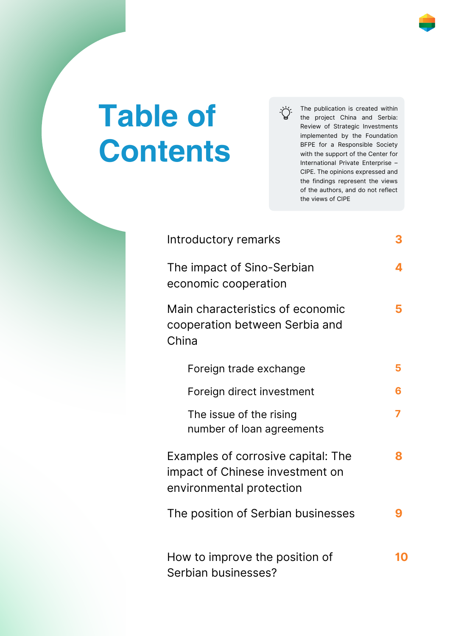# **Table of Contents**

The publication is created within ゙゙゙ the project China and Serbia: Review of Strategic Investments implemented by the Foundation BFPE for a Responsible Society with the support of the Center for International Private Enterprise – CIPE. The opinions expressed and

the views of CIPE

the findings represent the views of the authors, and do not reflect

| Introductory remarks                                                                              | 3 |
|---------------------------------------------------------------------------------------------------|---|
| The impact of Sino-Serbian<br>economic cooperation                                                | 4 |
| Main characteristics of economic<br>cooperation between Serbia and<br>China                       | 5 |
| Foreign trade exchange                                                                            | 5 |
| Foreign direct investment                                                                         | 6 |
| The issue of the rising<br>number of loan agreements                                              | 7 |
| Examples of corrosive capital: The<br>impact of Chinese investment on<br>environmental protection | 8 |
| The position of Serbian businesses                                                                |   |
| How to improve the position of<br>Serbian businesses?                                             |   |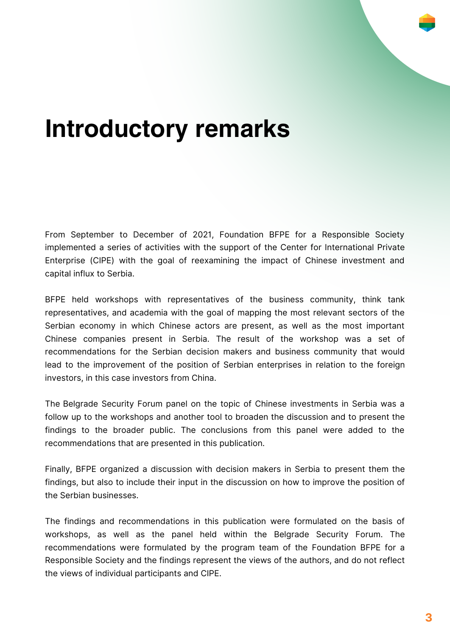

From September to December of 2021, Foundation BFPE for a Responsible Society implemented a series of activities with the support of the Center for International Private Enterprise (CIPE) with the goal of reexamining the impact of Chinese investment and capital influx to Serbia.

BFPE held workshops with representatives of the business community, think tank representatives, and academia with the goal of mapping the most relevant sectors of the Serbian economy in which Chinese actors are present, as well as the most important Chinese companies present in Serbia. The result of the workshop was a set of recommendations for the Serbian decision makers and business community that would lead to the improvement of the position of Serbian enterprises in relation to the foreign investors, in this case investors from China.

The Belgrade Security Forum panel on the topic of Chinese investments in Serbia was a follow up to the workshops and another tool to broaden the discussion and to present the findings to the broader public. The conclusions from this panel were added to the recommendations that are presented in this publication.

Finally, BFPE organized a discussion with decision makers in Serbia to present them the findings, but also to include their input in the discussion on how to improve the position of the Serbian businesses.

The findings and recommendations in this publication were formulated on the basis of workshops, as well as the panel held within the Belgrade Security Forum. The recommendations were formulated by the program team of the Foundation BFPE for a Responsible Society and the findings represent the views of the authors, and do not reflect the views of individual participants and CIPE.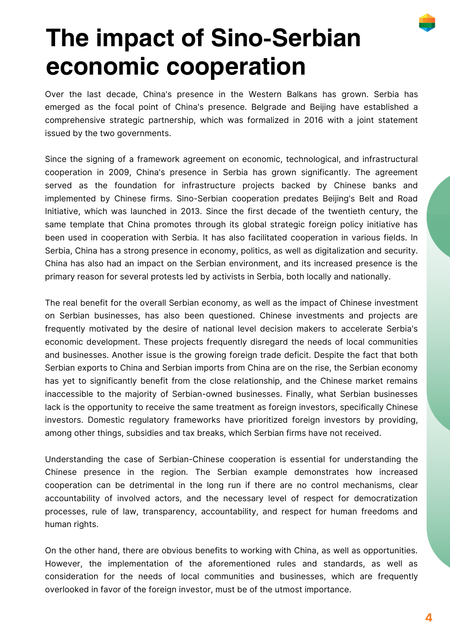

## **The impact of Sino-Serbian economic cooperation**

Over the last decade, China's presence in the Western Balkans has grown. Serbia has emerged as the focal point of China's presence. Belgrade and Beijing have established a comprehensive strategic partnership, which was formalized in 2016 with a joint statement issued by the two governments.

Since the signing of a framework agreement on economic, technological, and infrastructural cooperation in 2009, China's presence in Serbia has grown significantly. The agreement served as the foundation for infrastructure projects backed by Chinese banks and implemented by Chinese firms. Sino-Serbian cooperation predates Beijing's Belt and Road Initiative, which was launched in 2013. Since the first decade of the twentieth century, the same template that China promotes through its global strategic foreign policy initiative has been used in cooperation with Serbia. It has also facilitated cooperation in various fields. In Serbia, China has a strong presence in economy, politics, as well as digitalization and security. China has also had an impact on the Serbian environment, and its increased presence is the primary reason for several protests led by activists in Serbia, both locally and nationally.

The real benefit for the overall Serbian economy, as well as the impact of Chinese investment on Serbian businesses, has also been questioned. Chinese investments and projects are frequently motivated by the desire of national level decision makers to accelerate Serbia's economic development. These projects frequently disregard the needs of local communities and businesses. Another issue is the growing foreign trade deficit. Despite the fact that both Serbian exports to China and Serbian imports from China are on the rise, the Serbian economy has yet to significantly benefit from the close relationship, and the Chinese market remains inaccessible to the majority of Serbian-owned businesses. Finally, what Serbian businesses lack is the opportunity to receive the same treatment as foreign investors, specifically Chinese investors. Domestic regulatory frameworks have prioritized foreign investors by providing, among other things, subsidies and tax breaks, which Serbian firms have not received.

Understanding the case of Serbian-Chinese cooperation is essential for understanding the Chinese presence in the region. The Serbian example demonstrates how increased cooperation can be detrimental in the long run if there are no control mechanisms, clear accountability of involved actors, and the necessary level of respect for democratization processes, rule of law, transparency, accountability, and respect for human freedoms and human rights.

On the other hand, there are obvious benefits to working with China, as well as opportunities. However, the implementation of the aforementioned rules and standards, as well as consideration for the needs of local communities and businesses, which are frequently overlooked in favor of the foreign investor, must be of the utmost importance.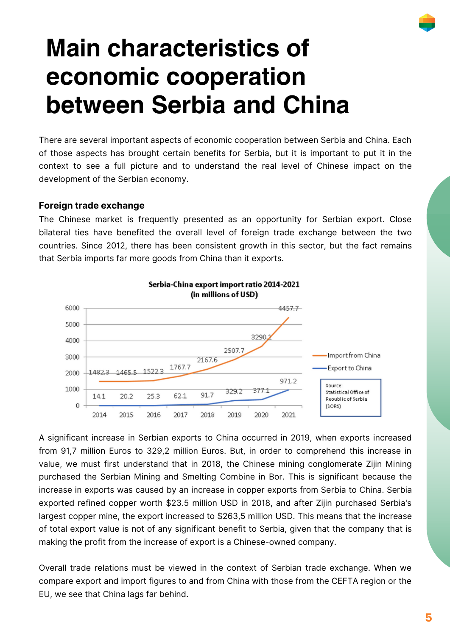### **Main characteristics of economic cooperation between Serbia and China**

There are several important aspects of economic cooperation between Serbia and China. Each of those aspects has brought certain benefits for Serbia, but it is important to put it in the context to see a full picture and to understand the real level of Chinese impact on the development of the Serbian economy.

### **Foreign trade exchange**

The Chinese market is frequently presented as an opportunity for Serbian export. Close bilateral ties have benefited the overall level of foreign trade exchange between the two countries. Since 2012, there has been consistent growth in this sector, but the fact remains that Serbia imports far more goods from China than it exports.



A significant increase in Serbian exports to China occurred in 2019, when exports increased from 91,7 million Euros to 329,2 million Euros. But, in order to comprehend this increase in value, we must first understand that in 2018, the Chinese mining conglomerate Zijin Mining purchased the Serbian Mining and Smelting Combine in Bor. This is significant because the increase in exports was caused by an increase in copper exports from Serbia to China. Serbia exported refined copper worth \$23.5 million USD in 2018, and after Zijin purchased Serbia's largest copper mine, the export increased to \$263,5 million USD. This means that the increase of total export value is not of any significant benefit to Serbia, given that the company that is making the profit from the increase of export is a Chinese-owned company.

Overall trade relations must be viewed in the context of Serbian trade exchange. When we compare export and import figures to and from China with those from the CEFTA region or the EU, we see that China lags far behind.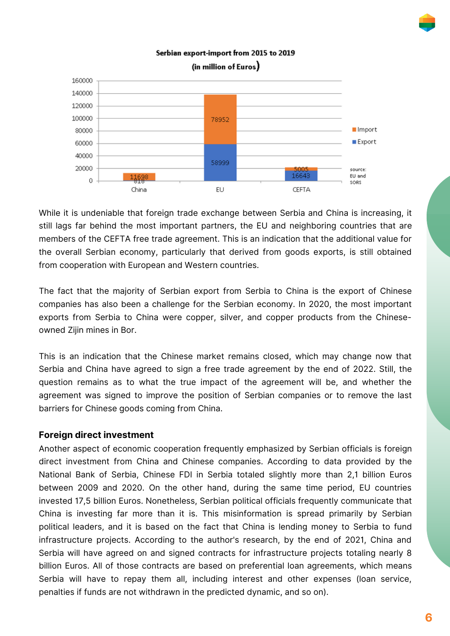Serbian export-import from 2015 to 2019 (in million of Euros) 160000 140000 120000 100000 78952 80000 Import Export 60000 40000 58999 20000 source: 16643 EU and  $\Omega$ SORS China EU CEETA

While it is undeniable that foreign trade exchange between Serbia and China is increasing, it still lags far behind the most important partners, the EU and neighboring countries that are members of the CEFTA free trade agreement. This is an indication that the additional value for the overall Serbian economy, particularly that derived from goods exports, is still obtained from cooperation with European and Western countries.

The fact that the majority of Serbian export from Serbia to China is the export of Chinese companies has also been a challenge for the Serbian economy. In 2020, the most important exports from Serbia to China were copper, silver, and copper products from the Chineseowned Zijin mines in Bor.

This is an indication that the Chinese market remains closed, which may change now that Serbia and China have agreed to sign a free trade agreement by the end of 2022. Still, the question remains as to what the true impact of the agreement will be, and whether the agreement was signed to improve the position of Serbian companies or to remove the last barriers for Chinese goods coming from China.

### **Foreign direct investment**

Another aspect of economic cooperation frequently emphasized by Serbian officials is foreign direct investment from China and Chinese companies. According to data provided by the National Bank of Serbia, Chinese FDI in Serbia totaled slightly more than 2,1 billion Euros between 2009 and 2020. On the other hand, during the same time period, EU countries invested 17,5 billion Euros. Nonetheless, Serbian political officials frequently communicate that China is investing far more than it is. This misinformation is spread primarily by Serbian political leaders, and it is based on the fact that China is lending money to Serbia to fund infrastructure projects. According to the author's research, by the end of 2021, China and Serbia will have agreed on and signed contracts for infrastructure projects totaling nearly 8 billion Euros. All of those contracts are based on preferential loan agreements, which means Serbia will have to repay them all, including interest and other expenses (loan service, penalties if funds are not withdrawn in the predicted dynamic, and so on).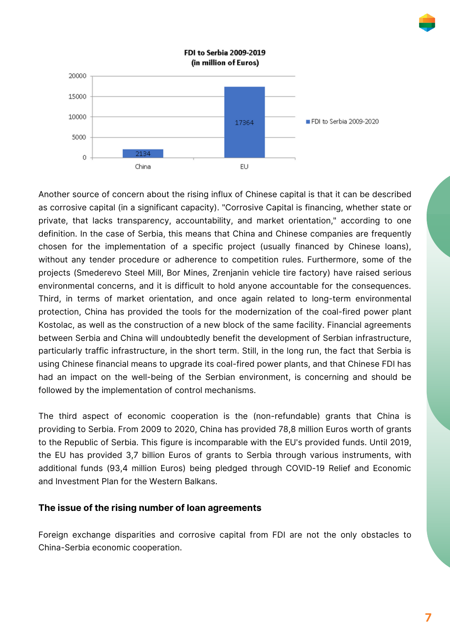

Another source of concern about the rising influx of Chinese capital is that it can be described as corrosive capital (in a significant capacity). "Corrosive Capital is financing, whether state or private, that lacks transparency, accountability, and market orientation," according to one definition. In the case of Serbia, this means that China and Chinese companies are frequently chosen for the implementation of a specific project (usually financed by Chinese loans), without any tender procedure or adherence to competition rules. Furthermore, some of the projects (Smederevo Steel Mill, Bor Mines, Zrenjanin vehicle tire factory) have raised serious environmental concerns, and it is difficult to hold anyone accountable for the consequences. Third, in terms of market orientation, and once again related to long-term environmental protection, China has provided the tools for the modernization of the coal-fired power plant Kostolac, as well as the construction of a new block of the same facility. Financial agreements between Serbia and China will undoubtedly benefit the development of Serbian infrastructure, particularly traffic infrastructure, in the short term. Still, in the long run, the fact that Serbia is using Chinese financial means to upgrade its coal-fired power plants, and that Chinese FDI has had an impact on the well-being of the Serbian environment, is concerning and should be followed by the implementation of control mechanisms.

The third aspect of economic cooperation is the (non-refundable) grants that China is providing to Serbia. From 2009 to 2020, China has provided 78,8 million Euros worth of grants to the Republic of Serbia. This figure is incomparable with the EU's provided funds. Until 2019, the EU has provided 3,7 billion Euros of grants to Serbia through various instruments, with additional funds (93,4 million Euros) being pledged through COVID-19 Relief and Economic and Investment Plan for the Western Balkans.

### **The issue of the rising number of loan agreements**

Foreign exchange disparities and corrosive capital from FDI are not the only obstacles to China-Serbia economic cooperation.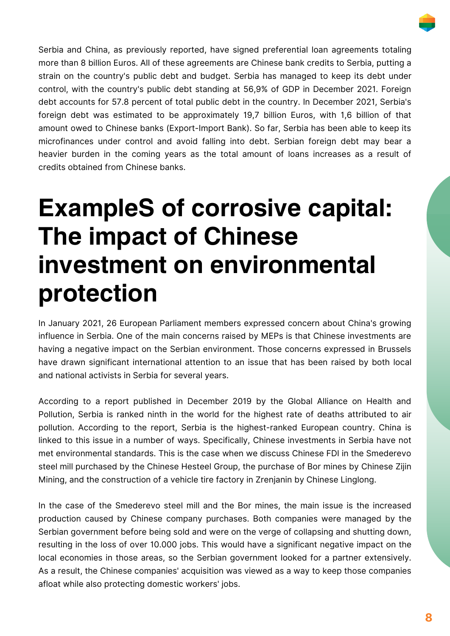

Serbia and China, as previously reported, have signed preferential loan agreements totaling more than 8 billion Euros. All of these agreements are Chinese bank credits to Serbia, putting a strain on the country's public debt and budget. Serbia has managed to keep its debt under control, with the country's public debt standing at 56,9% of GDP in December 2021. Foreign debt accounts for 57.8 percent of total public debt in the country. In December 2021, Serbia's foreign debt was estimated to be approximately 19,7 billion Euros, with 1,6 billion of that amount owed to Chinese banks (Export-Import Bank). So far, Serbia has been able to keep its microfinances under control and avoid falling into debt. Serbian foreign debt may bear a heavier burden in the coming years as the total amount of loans increases as a result of credits obtained from Chinese banks.

### **ExampleS of corrosive capital: The impact of Chinese investment on environmental protection**

In January 2021, 26 European Parliament members expressed concern about China's growing influence in Serbia. One of the main concerns raised by MEPs is that Chinese investments are having a negative impact on the Serbian environment. Those concerns expressed in Brussels have drawn significant international attention to an issue that has been raised by both local and national activists in Serbia for several years.

According to a report published in December 2019 by the Global Alliance on Health and Pollution, Serbia is ranked ninth in the world for the highest rate of deaths attributed to air pollution. According to the report, Serbia is the highest-ranked European country. China is linked to this issue in a number of ways. Specifically, Chinese investments in Serbia have not met environmental standards. This is the case when we discuss Chinese FDI in the Smederevo steel mill purchased by the Chinese Hesteel Group, the purchase of Bor mines by Chinese Zijin Mining, and the construction of a vehicle tire factory in Zrenjanin by Chinese Linglong.

In the case of the Smederevo steel mill and the Bor mines, the main issue is the increased production caused by Chinese company purchases. Both companies were managed by the Serbian government before being sold and were on the verge of collapsing and shutting down, resulting in the loss of over 10.000 jobs. This would have a significant negative impact on the local economies in those areas, so the Serbian government looked for a partner extensively. As a result, the Chinese companies' acquisition was viewed as a way to keep those companies afloat while also protecting domestic workers' jobs.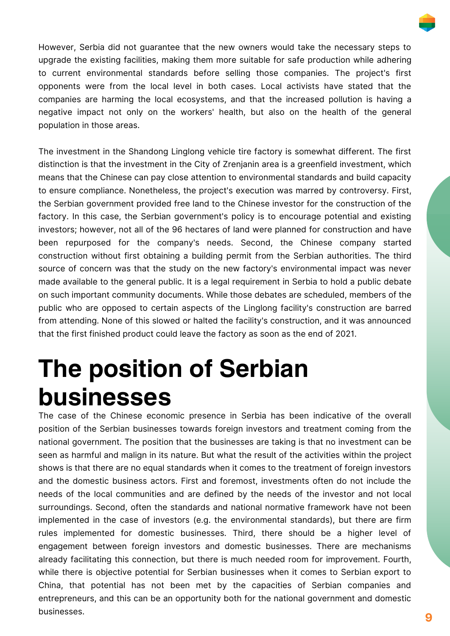

However, Serbia did not guarantee that the new owners would take the necessary steps to upgrade the existing facilities, making them more suitable for safe production while adhering to current environmental standards before selling those companies. The project's first opponents were from the local level in both cases. Local activists have stated that the companies are harming the local ecosystems, and that the increased pollution is having a negative impact not only on the workers' health, but also on the health of the general population in those areas.

The investment in the Shandong Linglong vehicle tire factory is somewhat different. The first distinction is that the investment in the City of Zrenjanin area is a greenfield investment, which means that the Chinese can pay close attention to environmental standards and build capacity to ensure compliance. Nonetheless, the project's execution was marred by controversy. First, the Serbian government provided free land to the Chinese investor for the construction of the factory. In this case, the Serbian government's policy is to encourage potential and existing investors; however, not all of the 96 hectares of land were planned for construction and have been repurposed for the company's needs. Second, the Chinese company started construction without first obtaining a building permit from the Serbian authorities. The third source of concern was that the study on the new factory's environmental impact was never made available to the general public. It is a legal requirement in Serbia to hold a public debate on such important community documents. While those debates are scheduled, members of the public who are opposed to certain aspects of the Linglong facility's construction are barred from attending. None of this slowed or halted the facility's construction, and it was announced that the first finished product could leave the factory as soon as the end of 2021.

### **The position of Serbian businesses**

The case of the Chinese economic presence in Serbia has been indicative of the overall position of the Serbian businesses towards foreign investors and treatment coming from the national government. The position that the businesses are taking is that no investment can be seen as harmful and malign in its nature. But what the result of the activities within the project shows is that there are no equal standards when it comes to the treatment of foreign investors and the domestic business actors. First and foremost, investments often do not include the needs of the local communities and are defined by the needs of the investor and not local surroundings. Second, often the standards and national normative framework have not been implemented in the case of investors (e.g. the environmental standards), but there are firm rules implemented for domestic businesses. Third, there should be a higher level of engagement between foreign investors and domestic businesses. There are mechanisms already facilitating this connection, but there is much needed room for improvement. Fourth, while there is objective potential for Serbian businesses when it comes to Serbian export to China, that potential has not been met by the capacities of Serbian companies and entrepreneurs, and this can be an opportunity both for the national government and domestic businesses.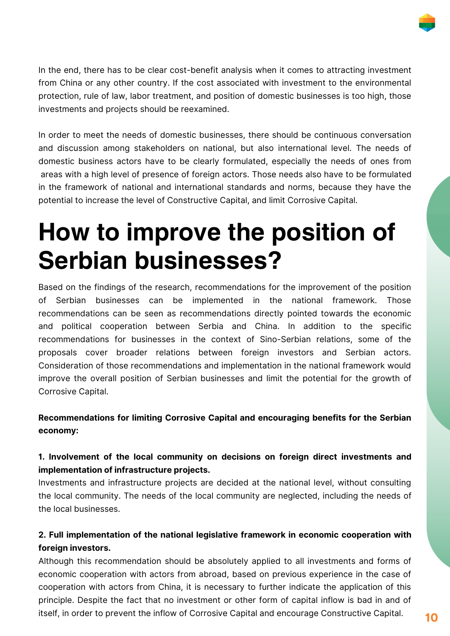

In the end, there has to be clear cost-benefit analysis when it comes to attracting investment from China or any other country. If the cost associated with investment to the environmental protection, rule of law, labor treatment, and position of domestic businesses is too high, those investments and projects should be reexamined.

In order to meet the needs of domestic businesses, there should be continuous conversation and discussion among stakeholders on national, but also international level. The needs of domestic business actors have to be clearly formulated, especially the needs of ones from areas with a high level of presence of foreign actors. Those needs also have to be formulated in the framework of national and international standards and norms, because they have the potential to increase the level of Constructive Capital, and limit Corrosive Capital.

### **How to improve the position of Serbian businesses?**

Based on the findings of the research, recommendations for the improvement of the position of Serbian businesses can be implemented in the national framework. Those recommendations can be seen as recommendations directly pointed towards the economic and political cooperation between Serbia and China. In addition to the specific recommendations for businesses in the context of Sino-Serbian relations, some of the proposals cover broader relations between foreign investors and Serbian actors. Consideration of those recommendations and implementation in the national framework would improve the overall position of Serbian businesses and limit the potential for the growth of Corrosive Capital.

### **Recommendations for limiting Corrosive Capital and encouraging benefits for the Serbian economy:**

### **1. Involvement of the local community on decisions on foreign direct investments and implementation of infrastructure projects.**

Investments and infrastructure projects are decided at the national level, without consulting the local community. The needs of the local community are neglected, including the needs of the local businesses.

### **2. Full implementation of the national legislative framework in economic cooperation with foreign investors.**

Although this recommendation should be absolutely applied to all investments and forms of economic cooperation with actors from abroad, based on previous experience in the case of cooperation with actors from China, it is necessary to further indicate the application of this principle. Despite the fact that no investment or other form of capital inflow is bad in and of itself, in order to prevent the inflow of Corrosive Capital and encourage Constructive Capital.